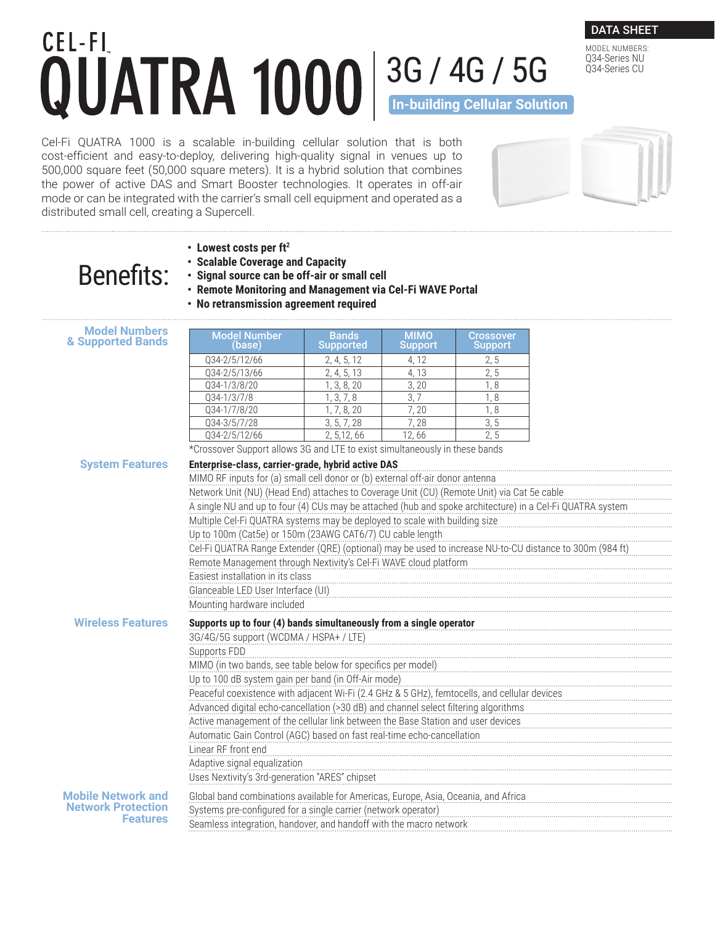## CEL-FI **QUATRA 1000** 3G / 4G / 5G **In-building Cellular Solution**

Cel-Fi QUATRA 1000 is a scalable in-building cellular solution that is both cost-efficient and easy-to-deploy, delivering high-quality signal in venues up to 500,000 square feet (50,000 square meters). It is a hybrid solution that combines the power of active DAS and Smart Booster technologies. It operates in off-air mode or can be integrated with the carrier's small cell equipment and operated as a distributed small cell, creating a Supercell.

. . . . . .

| <b>Benefits:</b>                             | • Lowest costs per $ft^2$<br>• Scalable Coverage and Capacity<br>· Signal source can be off-air or small cell<br>• Remote Monitoring and Management via Cel-Fi WAVE Portal<br>• No retransmission agreement required |                              |                        |                             |  |  |  |  |
|----------------------------------------------|----------------------------------------------------------------------------------------------------------------------------------------------------------------------------------------------------------------------|------------------------------|------------------------|-----------------------------|--|--|--|--|
| <b>Model Numbers</b><br>& Supported Bands    | Model Number<br>(base)                                                                                                                                                                                               | Bands<br><b>Supported</b>    | мімо<br><b>Support</b> | Crossover<br><b>Support</b> |  |  |  |  |
|                                              | Q34-2/5/12/66                                                                                                                                                                                                        | 2, 4, 5, 12                  | 4, 12                  | 2, 5                        |  |  |  |  |
|                                              | Q34-2/5/13/66                                                                                                                                                                                                        | 2, 4, 5, 13                  | 4, 13                  | 2, 5                        |  |  |  |  |
|                                              | Q34-1/3/8/20                                                                                                                                                                                                         | 1, 3, 8, 20<br>3, 20<br>1, 8 |                        |                             |  |  |  |  |
|                                              | Q34-1/3/7/8                                                                                                                                                                                                          | 1, 3, 7, 8                   | 3, 7                   | 1, 8                        |  |  |  |  |
|                                              | Q34-1/7/8/20                                                                                                                                                                                                         | 1, 7, 8, 20                  | 7,20                   | 1, 8                        |  |  |  |  |
|                                              | Q34-3/5/7/28                                                                                                                                                                                                         | 3, 5, 7, 28                  | 7,28                   | 3, 5                        |  |  |  |  |
|                                              | Q34-2/5/12/66                                                                                                                                                                                                        | 2, 5, 12, 66                 | 12,66                  | 2, 5                        |  |  |  |  |
|                                              | *Crossover Support allows 3G and LTE to exist simultaneously in these bands                                                                                                                                          |                              |                        |                             |  |  |  |  |
| <b>System Features</b>                       |                                                                                                                                                                                                                      |                              |                        |                             |  |  |  |  |
|                                              | Enterprise-class, carrier-grade, hybrid active DAS<br>MIMO RF inputs for (a) small cell donor or (b) external off-air donor antenna                                                                                  |                              |                        |                             |  |  |  |  |
|                                              |                                                                                                                                                                                                                      |                              |                        |                             |  |  |  |  |
|                                              | Network Unit (NU) (Head End) attaches to Coverage Unit (CU) (Remote Unit) via Cat 5e cable                                                                                                                           |                              |                        |                             |  |  |  |  |
|                                              | A single NU and up to four (4) CUs may be attached (hub and spoke architecture) in a Cel-Fi QUATRA system                                                                                                            |                              |                        |                             |  |  |  |  |
|                                              | Multiple Cel-Fi QUATRA systems may be deployed to scale with building size                                                                                                                                           |                              |                        |                             |  |  |  |  |
|                                              | Up to 100m (Cat5e) or 150m (23AWG CAT6/7) CU cable length                                                                                                                                                            |                              |                        |                             |  |  |  |  |
|                                              | Cel-Fi QUATRA Range Extender (QRE) (optional) may be used to increase NU-to-CU distance to 300m (984 ft)                                                                                                             |                              |                        |                             |  |  |  |  |
|                                              | Remote Management through Nextivity's Cel-Fi WAVE cloud platform                                                                                                                                                     |                              |                        |                             |  |  |  |  |
|                                              | Easiest installation in its class                                                                                                                                                                                    |                              |                        |                             |  |  |  |  |
|                                              | Glanceable LED User Interface (UI)                                                                                                                                                                                   |                              |                        |                             |  |  |  |  |
|                                              | Mounting hardware included                                                                                                                                                                                           |                              |                        |                             |  |  |  |  |
| <b>Wireless Features</b>                     |                                                                                                                                                                                                                      |                              |                        |                             |  |  |  |  |
|                                              | Supports up to four (4) bands simultaneously from a single operator                                                                                                                                                  |                              |                        |                             |  |  |  |  |
|                                              | 3G/4G/5G support (WCDMA / HSPA+ / LTE)                                                                                                                                                                               |                              |                        |                             |  |  |  |  |
|                                              | Supports FDD                                                                                                                                                                                                         |                              |                        |                             |  |  |  |  |
|                                              | MIMO (in two bands, see table below for specifics per model)                                                                                                                                                         |                              |                        |                             |  |  |  |  |
|                                              | Up to 100 dB system gain per band (in Off-Air mode)                                                                                                                                                                  |                              |                        |                             |  |  |  |  |
|                                              | Peaceful coexistence with adjacent Wi-Fi (2.4 GHz & 5 GHz), femtocells, and cellular devices                                                                                                                         |                              |                        |                             |  |  |  |  |
|                                              | Advanced digital echo-cancellation (>30 dB) and channel select filtering algorithms                                                                                                                                  |                              |                        |                             |  |  |  |  |
|                                              | Active management of the cellular link between the Base Station and user devices                                                                                                                                     |                              |                        |                             |  |  |  |  |
|                                              | Automatic Gain Control (AGC) based on fast real-time echo-cancellation                                                                                                                                               |                              |                        |                             |  |  |  |  |
|                                              | Linear RF front end                                                                                                                                                                                                  |                              |                        |                             |  |  |  |  |
|                                              | Adaptive signal equalization                                                                                                                                                                                         |                              |                        |                             |  |  |  |  |
|                                              | Uses Nextivity's 3rd-generation "ARES" chipset                                                                                                                                                                       |                              |                        |                             |  |  |  |  |
| <b>Mobile Network and</b>                    | Global band combinations available for Americas, Europe, Asia, Oceania, and Africa                                                                                                                                   |                              |                        |                             |  |  |  |  |
| <b>Network Protection</b><br><b>Features</b> | Systems pre-configured for a single carrier (network operator)                                                                                                                                                       |                              |                        |                             |  |  |  |  |
|                                              | Seamless integration, handover, and handoff with the macro network                                                                                                                                                   |                              |                        |                             |  |  |  |  |





MODEL NUMBERS: Q34-Series NU Q34-Series CU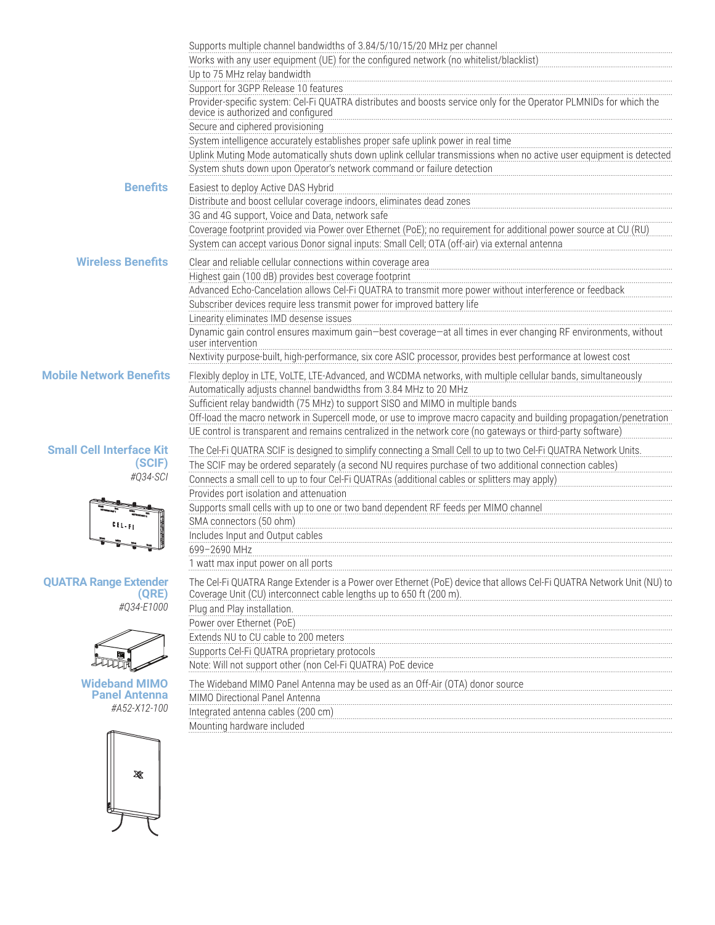|                                 | Supports multiple channel bandwidths of 3.84/5/10/15/20 MHz per channel                                                                                                                                                            |
|---------------------------------|------------------------------------------------------------------------------------------------------------------------------------------------------------------------------------------------------------------------------------|
|                                 | Works with any user equipment (UE) for the configured network (no whitelist/blacklist)<br>Up to 75 MHz relay bandwidth                                                                                                             |
|                                 | Support for 3GPP Release 10 features                                                                                                                                                                                               |
|                                 | Provider-specific system: Cel-Fi QUATRA distributes and boosts service only for the Operator PLMNIDs for which the<br>device is authorized and configured                                                                          |
|                                 | Secure and ciphered provisioning                                                                                                                                                                                                   |
|                                 | System intelligence accurately establishes proper safe uplink power in real time                                                                                                                                                   |
|                                 | Uplink Muting Mode automatically shuts down uplink cellular transmissions when no active user equipment is detected<br>System shuts down upon Operator's network command or failure detection                                      |
| <b>Benefits</b>                 | Easiest to deploy Active DAS Hybrid                                                                                                                                                                                                |
|                                 | Distribute and boost cellular coverage indoors, eliminates dead zones                                                                                                                                                              |
|                                 | 3G and 4G support, Voice and Data, network safe                                                                                                                                                                                    |
|                                 | Coverage footprint provided via Power over Ethernet (PoE); no requirement for additional power source at CU (RU)                                                                                                                   |
|                                 | System can accept various Donor signal inputs: Small Cell; OTA (off-air) via external antenna                                                                                                                                      |
| <b>Wireless Benefits</b>        | Clear and reliable cellular connections within coverage area                                                                                                                                                                       |
|                                 | Highest gain (100 dB) provides best coverage footprint                                                                                                                                                                             |
|                                 | Advanced Echo-Cancelation allows Cel-Fi QUATRA to transmit more power without interference or feedback                                                                                                                             |
|                                 | Subscriber devices require less transmit power for improved battery life                                                                                                                                                           |
|                                 | Linearity eliminates IMD desense issues                                                                                                                                                                                            |
|                                 | Dynamic gain control ensures maximum gain-best coverage-at all times in ever changing RF environments, without<br>user intervention                                                                                                |
|                                 | Nextivity purpose-built, high-performance, six core ASIC processor, provides best performance at lowest cost                                                                                                                       |
| <b>Mobile Network Benefits</b>  | Flexibly deploy in LTE, VoLTE, LTE-Advanced, and WCDMA networks, with multiple cellular bands, simultaneously<br>Automatically adjusts channel bandwidths from 3.84 MHz to 20 MHz                                                  |
|                                 | Sufficient relay bandwidth (75 MHz) to support SISO and MIMO in multiple bands                                                                                                                                                     |
|                                 | Off-load the macro network in Supercell mode, or use to improve macro capacity and building propagation/penetration<br>UE control is transparent and remains centralized in the network core (no gateways or third-party software) |
|                                 |                                                                                                                                                                                                                                    |
| <b>Small Cell Interface Kit</b> | The Cel-Fi QUATRA SCIF is designed to simplify connecting a Small Cell to up to two Cel-Fi QUATRA Network Units.                                                                                                                   |
| (SCIF)                          | The SCIF may be ordered separately (a second NU requires purchase of two additional connection cables)                                                                                                                             |
| #Q34-SCI                        | Connects a small cell to up to four Cel-Fi QUATRAs (additional cables or splitters may apply)                                                                                                                                      |
|                                 | Provides port isolation and attenuation<br>Supports small cells with up to one or two band dependent RF feeds per MIMO channel                                                                                                     |
|                                 | SMA connectors (50 ohm)                                                                                                                                                                                                            |
|                                 | Includes Input and Output cables                                                                                                                                                                                                   |
|                                 | 699-2690 MHz                                                                                                                                                                                                                       |
|                                 | 1 watt max input power on all ports                                                                                                                                                                                                |
| <b>QUATRA Range Extender</b>    | The Cel-Fi QUATRA Range Extender is a Power over Ethernet (PoE) device that allows Cel-Fi QUATRA Network Unit (NU) to                                                                                                              |
| (QRE)                           | Coverage Unit (CU) interconnect cable lengths up to 650 ft (200 m).                                                                                                                                                                |
| #Q34-E1000                      | Plug and Play installation.                                                                                                                                                                                                        |
|                                 | Power over Ethernet (PoE)                                                                                                                                                                                                          |
|                                 | Extends NU to CU cable to 200 meters                                                                                                                                                                                               |
|                                 | Supports Cel-Fi QUATRA proprietary protocols                                                                                                                                                                                       |
|                                 | Note: Will not support other (non Cel-Fi QUATRA) PoE device                                                                                                                                                                        |
| <b>Wideband MIMO</b>            | The Wideband MIMO Panel Antenna may be used as an Off-Air (OTA) donor source                                                                                                                                                       |
| <b>Panel Antenna</b>            | MIMO Directional Panel Antenna                                                                                                                                                                                                     |
| #A52-X12-100                    | Integrated antenna cables (200 cm)                                                                                                                                                                                                 |
|                                 | Mounting hardware included                                                                                                                                                                                                         |

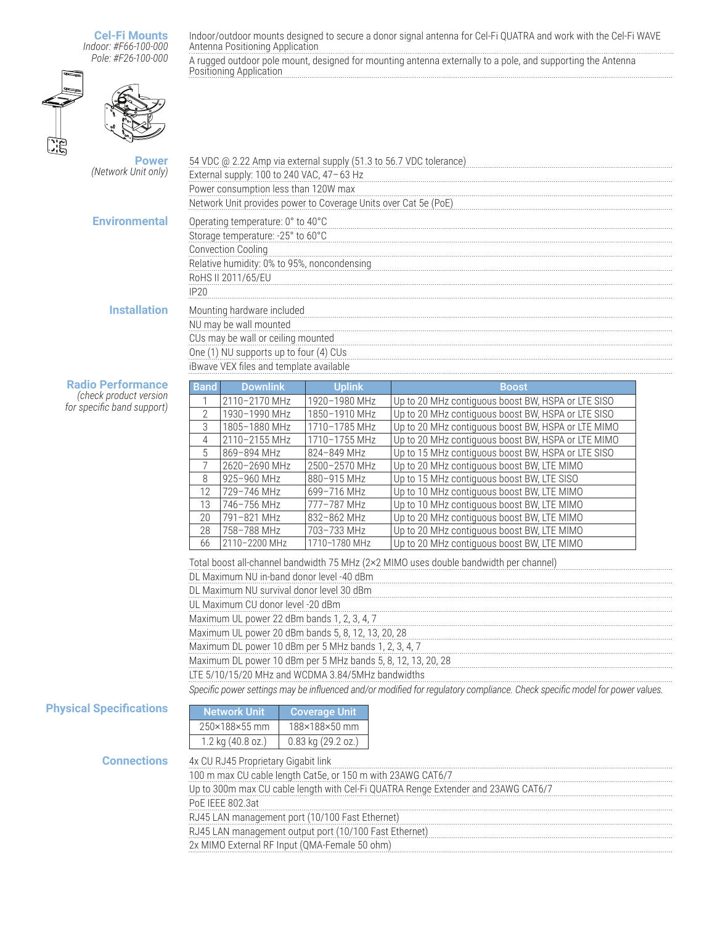**Cel-Fi Mounts** Indoor: #F66-100-000 Pole: #F26-100-000

Indoor/outdoor mounts designed to secure a donor signal antenna for Cel-Fi QUATRA and work with the Cel-Fi WAVE<br>Antenna Positioning Application

A rugged outdoor pole mount, designed for mounting antenna externally to a pole, and supporting the Antenna<br>Positioning Application

| Power<br>(Network Unit only)                         | 54 VDC @ 2.22 Amp via external supply (51.3 to 56.7 VDC tolerance)<br>External supply: 100 to 240 VAC, 47-63 Hz<br>Power consumption less than 120W max<br>Network Unit provides power to Coverage Units over Cat 5e (PoE)                                                                                                                                                                                                                                                                                                                                                                                                             |                                                                                                                                                                          |                                                                                                                                                                          |                                                                                          |  |  |  |
|------------------------------------------------------|----------------------------------------------------------------------------------------------------------------------------------------------------------------------------------------------------------------------------------------------------------------------------------------------------------------------------------------------------------------------------------------------------------------------------------------------------------------------------------------------------------------------------------------------------------------------------------------------------------------------------------------|--------------------------------------------------------------------------------------------------------------------------------------------------------------------------|--------------------------------------------------------------------------------------------------------------------------------------------------------------------------|------------------------------------------------------------------------------------------|--|--|--|
| <b>Environmental</b>                                 | IP <sub>20</sub>                                                                                                                                                                                                                                                                                                                                                                                                                                                                                                                                                                                                                       | Operating temperature: 0° to 40°C<br>Storage temperature: -25° to 60°C<br><b>Convection Cooling</b><br>Relative humidity: 0% to 95%, noncondensing<br>RoHS II 2011/65/EU |                                                                                                                                                                          |                                                                                          |  |  |  |
| <b>Installation</b>                                  | Mounting hardware included<br>NU may be wall mounted<br>CUs may be wall or ceiling mounted<br>One (1) NU supports up to four (4) CUs<br>iBwave VEX files and template available                                                                                                                                                                                                                                                                                                                                                                                                                                                        |                                                                                                                                                                          |                                                                                                                                                                          |                                                                                          |  |  |  |
| <b>Radio Performance</b>                             | <b>Band</b>                                                                                                                                                                                                                                                                                                                                                                                                                                                                                                                                                                                                                            | <b>Downlink</b>                                                                                                                                                          | <b>Uplink</b>                                                                                                                                                            | <b>Boost</b>                                                                             |  |  |  |
| (check product version<br>for specific band support) | 1                                                                                                                                                                                                                                                                                                                                                                                                                                                                                                                                                                                                                                      | 2110-2170 MHz                                                                                                                                                            | 1920-1980 MHz                                                                                                                                                            | Up to 20 MHz contiguous boost BW, HSPA or LTE SISO                                       |  |  |  |
|                                                      | $\overline{2}$                                                                                                                                                                                                                                                                                                                                                                                                                                                                                                                                                                                                                         | 1930-1990 MHz                                                                                                                                                            | 1850-1910 MHz                                                                                                                                                            | Up to 20 MHz contiguous boost BW, HSPA or LTE SISO                                       |  |  |  |
|                                                      | 3                                                                                                                                                                                                                                                                                                                                                                                                                                                                                                                                                                                                                                      | 1805-1880 MHz                                                                                                                                                            | 1710-1785 MHz                                                                                                                                                            | Up to 20 MHz contiguous boost BW, HSPA or LTE MIMO                                       |  |  |  |
|                                                      | $\overline{4}$                                                                                                                                                                                                                                                                                                                                                                                                                                                                                                                                                                                                                         | 2110-2155 MHz                                                                                                                                                            | 1710-1755 MHz                                                                                                                                                            | Up to 20 MHz contiguous boost BW, HSPA or LTE MIMO                                       |  |  |  |
|                                                      | 5                                                                                                                                                                                                                                                                                                                                                                                                                                                                                                                                                                                                                                      | 869-894 MHz                                                                                                                                                              | 824-849 MHz                                                                                                                                                              | Up to 15 MHz contiguous boost BW, HSPA or LTE SISO                                       |  |  |  |
|                                                      | 7                                                                                                                                                                                                                                                                                                                                                                                                                                                                                                                                                                                                                                      | 2620-2690 MHz                                                                                                                                                            | 2500-2570 MHz                                                                                                                                                            | Up to 20 MHz contiguous boost BW, LTE MIMO                                               |  |  |  |
|                                                      | 8<br>12                                                                                                                                                                                                                                                                                                                                                                                                                                                                                                                                                                                                                                | 925-960 MHz<br>729-746 MHz                                                                                                                                               | 880-915 MHz<br>699-716 MHz                                                                                                                                               | Up to 15 MHz contiguous boost BW, LTE SISO<br>Up to 10 MHz contiguous boost BW, LTE MIMO |  |  |  |
|                                                      | 13                                                                                                                                                                                                                                                                                                                                                                                                                                                                                                                                                                                                                                     | 746-756 MHz                                                                                                                                                              | 777-787 MHz                                                                                                                                                              | Up to 10 MHz contiguous boost BW, LTE MIMO                                               |  |  |  |
|                                                      | 20                                                                                                                                                                                                                                                                                                                                                                                                                                                                                                                                                                                                                                     | 791-821 MHz                                                                                                                                                              | 832-862 MHz                                                                                                                                                              | Up to 20 MHz contiguous boost BW, LTE MIMO                                               |  |  |  |
|                                                      | 28                                                                                                                                                                                                                                                                                                                                                                                                                                                                                                                                                                                                                                     | 758-788 MHz                                                                                                                                                              | 703-733 MHz                                                                                                                                                              | Up to 20 MHz contiguous boost BW, LTE MIMO                                               |  |  |  |
|                                                      | 66                                                                                                                                                                                                                                                                                                                                                                                                                                                                                                                                                                                                                                     | 2110-2200 MHz                                                                                                                                                            | 1710-1780 MHz                                                                                                                                                            | Up to 20 MHz contiguous boost BW, LTE MIMO                                               |  |  |  |
|                                                      | Total boost all-channel bandwidth 75 MHz (2×2 MIMO uses double bandwidth per channel)<br>DL Maximum NU in-band donor level -40 dBm<br>DL Maximum NU survival donor level 30 dBm<br>UL Maximum CU donor level -20 dBm<br>Maximum UL power 22 dBm bands 1, 2, 3, 4, 7<br>Maximum UL power 20 dBm bands 5, 8, 12, 13, 20, 28<br>Maximum DL power 10 dBm per 5 MHz bands 1, 2, 3, 4, 7<br>Maximum DL power 10 dBm per 5 MHz bands 5, 8, 12, 13, 20, 28<br>LTE 5/10/15/20 MHz and WCDMA 3.84/5MHz bandwidths<br>Specific power settings may be influenced and/or modified for regulatory compliance. Check specific model for power values. |                                                                                                                                                                          |                                                                                                                                                                          |                                                                                          |  |  |  |
| <b>Physical Specifications</b>                       |                                                                                                                                                                                                                                                                                                                                                                                                                                                                                                                                                                                                                                        | <b>Network Unit</b><br>250×188×55 mm<br>$1.2$ kg (40.8 oz.)                                                                                                              | <b>Coverage Unit</b><br>188×188×50 mm<br>0.83 kg (29.2 oz.)                                                                                                              |                                                                                          |  |  |  |
| <b>Connections</b>                                   |                                                                                                                                                                                                                                                                                                                                                                                                                                                                                                                                                                                                                                        | 4x CU RJ45 Proprietary Gigabit link<br>PoE IEEE 802.3at                                                                                                                  | 100 m max CU cable length Cat5e, or 150 m with 23AWG CAT6/7<br>RJ45 LAN management port (10/100 Fast Ethernet)<br>RJ45 LAN management output port (10/100 Fast Ethernet) | Up to 300m max CU cable length with Cel-Fi QUATRA Renge Extender and 23AWG CAT6/7        |  |  |  |
|                                                      |                                                                                                                                                                                                                                                                                                                                                                                                                                                                                                                                                                                                                                        |                                                                                                                                                                          | 2x MIMO External RF Input (QMA-Female 50 ohm)                                                                                                                            |                                                                                          |  |  |  |